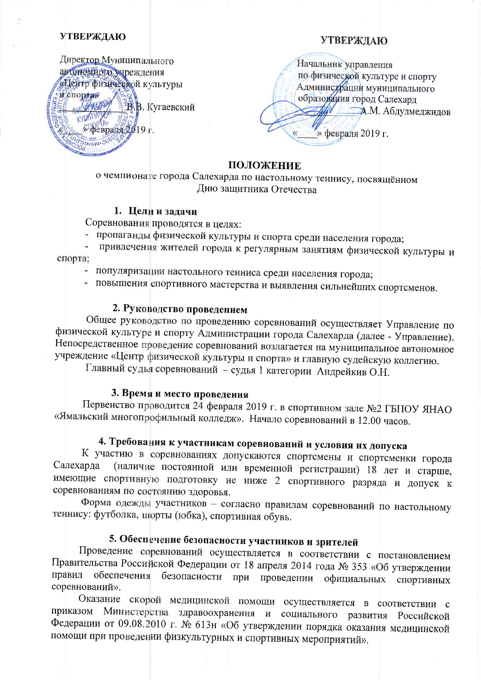### **УТВЕРЖДАЮ**

## **УТВЕРЖДАЮ**

Директор Муниципального автономного учреждения «Центр физической культуры H cnoptaw В. Кугаевский ARTHUR WORLD **ATTUHAW-088** 

Начальник управления по физической культуре и спорту Администрации муниципального образования город Салехард 14 А.М. Абдулмеджидов » февраля 2019 г.

## ПОЛОЖЕНИЕ

о чемпионате города Салехарда по настольному теннису, посвящённом Дню защитника Отечества

## 1. Цели и залачи

Соревнования проводятся в целях:

- пропаганды физической культуры и спорта среди населения города;
- привлечения жителей города к регулярным занятиям физической культуры и  $\Box$ спорта;
	- популяризации настольного тенниса среди населения города;
	- повышения спортивного мастерства и выявления сильнейших спортсменов.

## 2. Руководство проведением

Общее руководство по проведению соревнований осуществляет Управление по физической культуре и спорту Администрации города Салехарда (далее - Управление). Непосредственное проведение соревнований возлагается на муниципальное автономное учреждение «Центр физической культуры и спорта» и главную судейскую коллегию.

Главный судья соревнований - судья 1 категории Андрейкив О.Н.

## 3. Время и место проведения

Первенство проводится 24 февраля 2019 г. в спортивном зале №2 ГБПОУ ЯНАО «Ямальский многопрофильный колледж». Начало соревнований в 12.00 часов.

# 4. Требования к участникам соревнований и условия их допуска

К участию в соревнованиях допускаются спортсмены и спортсменки города (наличие постоянной или временной регистрации) 18 лет и старше, Салехарда имеющие спортивную подготовку не ниже 2 спортивного разряда и допуск к соревнованиям по состоянию здоровья.

Форма одежды участников - согласно правилам соревнований по настольному теннису: футболка, шорты (юбка), спортивная обувь.

## 5. Обеспечение безопасности участников и зрителей

Проведение соревнований осуществляется в соответствии с постановлением Правительства Российской Федерации от 18 апреля 2014 года № 353 «Об утверждении правил обеспечения безопасности при проведении официальных спортивных соревнований».

Оказание скорой медицинской помощи осуществляется в соответствии с Министерства здравоохранения и социального развития Российской приказом Федерации от 09.08.2010 г. № 613н «Об утверждении порядка оказания медицинской помощи при проведении физкультурных и спортивных мероприятий».